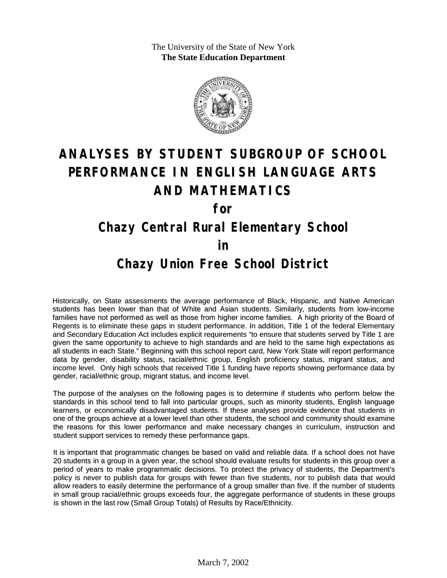The University of the State of New York **The State Education Department**



# **ANALYSES BY STUDENT SUBGROUP OF SCHOOL PERFORMANCE IN ENGLISH LANGUAGE ARTS AND MATHEMATICS**

**for**

## **Chazy Central Rural Elementary School**

#### **in**

### **Chazy Union Free School District**

Historically, on State assessments the average performance of Black, Hispanic, and Native American students has been lower than that of White and Asian students. Similarly, students from low-income families have not performed as well as those from higher income families. A high priority of the Board of Regents is to eliminate these gaps in student performance. In addition, Title 1 of the federal Elementary and Secondary Education Act includes explicit requirements "to ensure that students served by Title 1 are given the same opportunity to achieve to high standards and are held to the same high expectations as all students in each State." Beginning with this school report card, New York State will report performance data by gender, disability status, racial/ethnic group, English proficiency status, migrant status, and income level. Only high schools that received Title 1 funding have reports showing performance data by gender, racial/ethnic group, migrant status, and income level.

The purpose of the analyses on the following pages is to determine if students who perform below the standards in this school tend to fall into particular groups, such as minority students, English language learners, or economically disadvantaged students. If these analyses provide evidence that students in one of the groups achieve at a lower level than other students, the school and community should examine the reasons for this lower performance and make necessary changes in curriculum, instruction and student support services to remedy these performance gaps.

It is important that programmatic changes be based on valid and reliable data. If a school does not have 20 students in a group in a given year, the school should evaluate results for students in this group over a period of years to make programmatic decisions. To protect the privacy of students, the Department's policy is never to publish data for groups with fewer than five students, nor to publish data that would allow readers to easily determine the performance of a group smaller than five. If the number of students in small group racial/ethnic groups exceeds four, the aggregate performance of students in these groups is shown in the last row (Small Group Totals) of Results by Race/Ethnicity.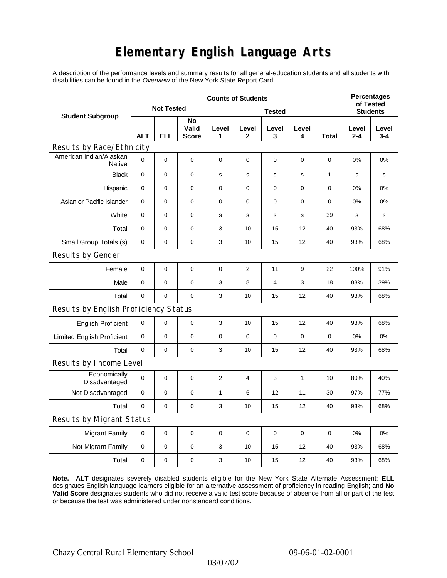## **Elementary English Language Arts**

A description of the performance levels and summary results for all general-education students and all students with disabilities can be found in the *Overview* of the New York State Report Card.

|                                       | <b>Counts of Students</b> |             |                      |                |                |             |             |              | <b>Percentages</b><br>of Tested |                  |
|---------------------------------------|---------------------------|-------------|----------------------|----------------|----------------|-------------|-------------|--------------|---------------------------------|------------------|
| <b>Student Subgroup</b>               | <b>Not Tested</b>         |             |                      | <b>Tested</b>  |                |             |             |              | <b>Students</b>                 |                  |
|                                       | <b>ALT</b>                | <b>ELL</b>  | No<br>Valid<br>Score | Level<br>1     | Level<br>2     | Level<br>3  | Level<br>4  | Total        | Level<br>$2 - 4$                | Level<br>$3 - 4$ |
| Results by Race/Ethnicity             |                           |             |                      |                |                |             |             |              |                                 |                  |
| American Indian/Alaskan<br>Native     | $\Omega$                  | $\mathbf 0$ | $\mathbf 0$          | $\mathbf 0$    | $\mathbf 0$    | 0           | 0           | 0            | 0%                              | 0%               |
| <b>Black</b>                          | $\mathbf 0$               | $\mathbf 0$ | $\mathbf 0$          | s              | $\mathbf s$    | $\mathbf s$ | $\mathbf s$ | $\mathbf{1}$ | $\mathbf s$                     | $\mathbf s$      |
| Hispanic                              | 0                         | 0           | 0                    | $\pmb{0}$      | $\mathbf 0$    | 0           | $\pmb{0}$   | 0            | 0%                              | 0%               |
| Asian or Pacific Islander             | 0                         | 0           | 0                    | 0              | 0              | 0           | 0           | 0            | 0%                              | 0%               |
| White                                 | 0                         | 0           | $\pmb{0}$            | $\mathbf s$    | $\mathbf s$    | $\mathbf s$ | s           | 39           | $\mathbf s$                     | $\mathbf s$      |
| Total                                 | 0                         | 0           | $\pmb{0}$            | 3              | 10             | 15          | 12          | 40           | 93%                             | 68%              |
| Small Group Totals (s)                | 0                         | 0           | 0                    | 3              | 10             | 15          | 12          | 40           | 93%                             | 68%              |
| Results by Gender                     |                           |             |                      |                |                |             |             |              |                                 |                  |
| Female                                | $\mathbf 0$               | 0           | $\pmb{0}$            | 0              | $\overline{2}$ | 11          | 9           | 22           | 100%                            | 91%              |
| Male                                  | 0                         | 0           | $\pmb{0}$            | 3              | 8              | 4           | 3           | 18           | 83%                             | 39%              |
| Total                                 | 0                         | 0           | 0                    | 3              | 10             | 15          | 12          | 40           | 93%                             | 68%              |
| Results by English Proficiency Status |                           |             |                      |                |                |             |             |              |                                 |                  |
| <b>English Proficient</b>             | 0                         | 0           | $\pmb{0}$            | 3              | 10             | 15          | 12          | 40           | 93%                             | 68%              |
| <b>Limited English Proficient</b>     | 0                         | 0           | $\pmb{0}$            | $\pmb{0}$      | $\mathbf 0$    | 0           | $\mathbf 0$ | $\mathbf 0$  | 0%                              | 0%               |
| Total                                 | $\mathbf 0$               | $\pmb{0}$   | 0                    | 3              | 10             | 15          | 12          | 40           | 93%                             | 68%              |
| Results by Income Level               |                           |             |                      |                |                |             |             |              |                                 |                  |
| Economically<br>Disadvantaged         | 0                         | 0           | $\mathbf 0$          | $\overline{2}$ | $\overline{4}$ | 3           | 1           | 10           | 80%                             | 40%              |
| Not Disadvantaged                     | 0                         | 0           | 0                    | $\mathbf{1}$   | 6              | 12          | 11          | 30           | 97%                             | 77%              |
| Total                                 | 0                         | $\mathbf 0$ | $\pmb{0}$            | 3              | 10             | 15          | 12          | 40           | 93%                             | 68%              |
| Results by Migrant Status             |                           |             |                      |                |                |             |             |              |                                 |                  |
| <b>Migrant Family</b>                 | 0                         | 0           | 0                    | $\pmb{0}$      | 0              | 0           | $\pmb{0}$   | 0            | 0%                              | 0%               |
| Not Migrant Family                    | 0                         | $\mathbf 0$ | $\pmb{0}$            | 3              | 10             | 15          | 12          | 40           | 93%                             | 68%              |
| Total                                 | 0                         | 0           | $\pmb{0}$            | 3              | 10             | 15          | 12          | 40           | 93%                             | 68%              |

**Note. ALT** designates severely disabled students eligible for the New York State Alternate Assessment; **ELL** designates English language learners eligible for an alternative assessment of proficiency in reading English; and **No Valid Score** designates students who did not receive a valid test score because of absence from all or part of the test or because the test was administered under nonstandard conditions.